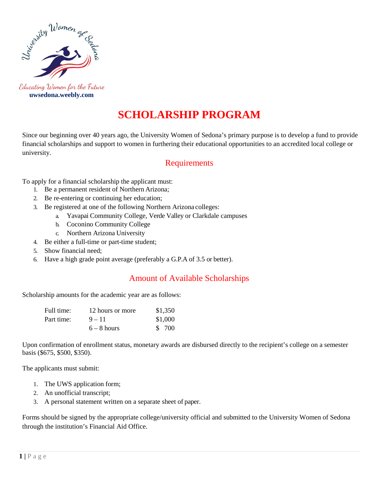

 **uwsedona.weebly.com**

## **SCHOLARSHIP PROGRAM**

Since our beginning over 40 years ago, the University Women of Sedona's primary purpose is to develop a fund to provide financial scholarships and support to women in furthering their educational opportunities to an accredited local college or university.

## **Requirements**

To apply for a financial scholarship the applicant must:

- 1. Be a permanent resident of Northern Arizona;
- 2. Be re-entering or continuing her education;
- 3. Be registered at one of the following Northern Arizona colleges:
	- a. Yavapai Community College, Verde Valley or Clarkdale campuses
		- b. Coconino Community College
		- c. Northern Arizona University
- 4. Be either a full-time or part-time student;
- 5. Show financial need;
- 6. Have a high grade point average (preferably a G.P.A of 3.5 or better).

## Amount of Available Scholarships

Scholarship amounts for the academic year are as follows:

| Full time: | 12 hours or more | \$1,350 |
|------------|------------------|---------|
| Part time: | $9 - 11$         | \$1,000 |
|            | $6 - 8$ hours    | \$ 700  |

Upon confirmation of enrollment status, monetary awards are disbursed directly to the recipient's college on a semester basis (\$675, \$500, \$350).

The applicants must submit:

- 1. The UWS application form;
- 2. An unofficial transcript;
- 3. A personal statement written on a separate sheet of paper.

Forms should be signed by the appropriate college/university official and submitted to the University Women of Sedona through the institution's Financial Aid Office.